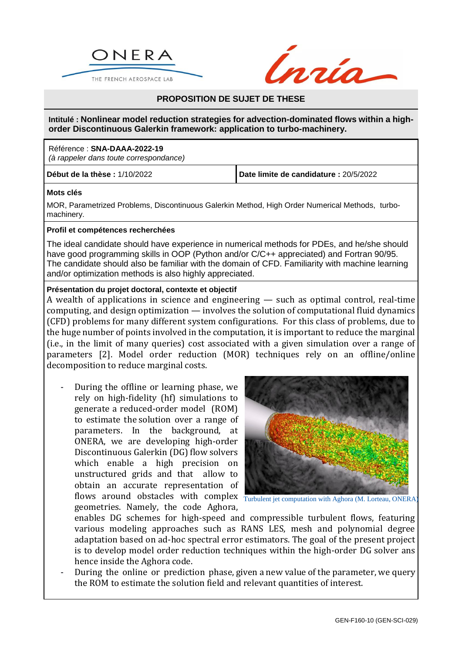



# **PROPOSITION DE SUJET DE THESE**

**Intitulé : Nonlinear model reduction strategies for advection-dominated flows within a highorder Discontinuous Galerkin framework: application to turbo-machinery.**

### Référence : **SNA-DAAA-2022-19**

*(à rappeler dans toute correspondance)*

**Début de la thèse :** 1/10/2022 **Date limite de candidature :** 20/5/2022

### **Mots clés**

MOR, Parametrized Problems, Discontinuous Galerkin Method, High Order Numerical Methods, turbomachinery.

#### **Profil et compétences recherchées**

The ideal candidate should have experience in numerical methods for PDEs, and he/she should have good programming skills in OOP (Python and/or C/C++ appreciated) and Fortran 90/95. The candidate should also be familiar with the domain of CFD. Familiarity with machine learning and/or optimization methods is also highly appreciated.

## **Présentation du projet doctoral, contexte et objectif**

A wealth of applications in science and engineering — such as optimal control, real-time computing, and design optimization — involves the solution of computational fluid dynamics (CFD) problems for many different system configurations. For this class of problems, due to the huge number of points involved in the computation, it is important to reduce the marginal (i.e., in the limit of many queries) cost associated with a given simulation over a range of parameters [2]. Model order reduction (MOR) techniques rely on an offline/online decomposition to reduce marginal costs.

- During the offline or learning phase, we rely on high-fidelity (hf) simulations to generate a reduced-order model (ROM) to estimate the solution over a range of parameters. In the background, at ONERA, we are developing high-order Discontinuous Galerkin (DG) flow solvers which enable a high precision on unstructured grids and that allow to obtain an accurate representation of flows around obstacles with complex Turbulent jet computation with Aghora (M. Lorteau, ONERA) geometries. Namely, the code Aghora,



enables DG schemes for high-speed and compressible turbulent flows, featuring various modeling approaches such as RANS LES, mesh and polynomial degree adaptation based on ad-hoc spectral error estimators. The goal of the present project is to develop model order reduction techniques within the high-order DG solver ans hence inside the Aghora code.

During the online or prediction phase, given a new value of the parameter, we query the ROM to estimate the solution field and relevant quantities of interest.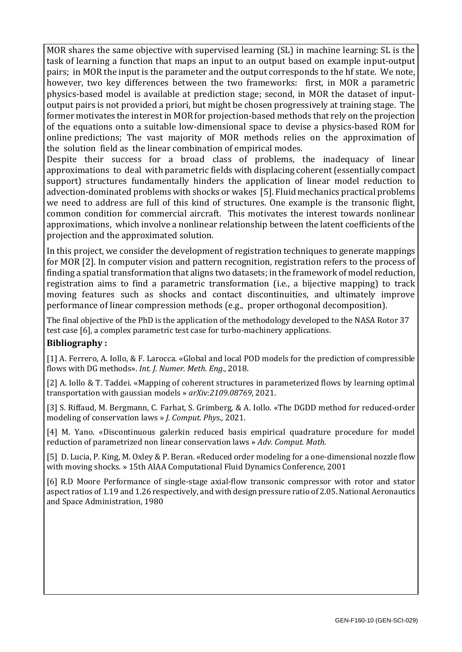MOR shares the same objective with supervised learning (SL) in machine learning: SL is the task of learning a function that maps an input to an output based on example input-output pairs; in MOR the input is the parameter and the output corresponds to the hf state. We note, however, two key differences between the two frameworks: first, in MOR a parametric physics-based model is available at prediction stage; second, in MOR the dataset of inputoutput pairs is not provided a priori, but might be chosen progressively at training stage. The former motivates the interest in MOR for projection-based methods that rely on the projection of the equations onto a suitable low-dimensional space to devise a physics-based ROM for online predictions; The vast majority of MOR methods relies on the approximation of the solution field as the linear combination of empirical modes.

Despite their success for a broad class of problems, the inadequacy of linear approximations to deal with parametric fields with displacing coherent (essentially compact support) structures fundamentally hinders the application of linear model reduction to advection-dominated problems with shocks or wakes [5]. Fluid mechanics practical problems we need to address are full of this kind of structures. One example is the transonic flight, common condition for commercial aircraft. This motivates the interest towards nonlinear approximations, which involve a nonlinear relationship between the latent coefficients of the projection and the approximated solution.

In this project, we consider the development of registration techniques to generate mappings for MOR [2]. In computer vision and pattern recognition, registration refers to the process of finding a spatial transformation that aligns two datasets; in the framework of model reduction, registration aims to find a parametric transformation (i.e., a bijective mapping) to track moving features such as shocks and contact discontinuities, and ultimately improve performance of linear compression methods (e.g., proper orthogonal decomposition).

The final objective of the PhD is the application of the methodology developed to the NASA Rotor 37 test case [6], a complex parametric test case for turbo-machinery applications.

# **Bibliography :**

[1] A. Ferrero, A. Iollo, & F. Larocca. «Global and local POD models for the prediction of compressible flows with DG methods». *Int. J. Numer. Meth. Eng.*, 2018.

[2] A. Iollo & T. Taddei. «Mapping of coherent structures in parameterized flows by learning optimal transportation with gaussian models » *arXiv:2109.08769*, 2021.

[3] S. Riffaud, M. Bergmann, C. Farhat, S. Grimberg, & A. Iollo. «The DGDD method for reduced-order modeling of conservation laws » *J. Comput. Phys.*, 2021.

[4] M. Yano. «Discontinuous galerkin reduced basis empirical quadrature procedure for model reduction of parametrized non linear conservation laws » *Adv. Comput. Math.*

[5] D. Lucia, P. King, M. Oxley & P. Beran. «Reduced order modeling for a one-dimensional nozzle flow with moving shocks. » 15th AIAA Computational Fluid Dynamics Conference, 2001

[6] R.D Moore Performance of single-stage axial-flow transonic compressor with rotor and stator aspect ratios of 1.19 and 1.26 respectively, and with design pressure ratio of 2.05. National Aeronautics and Space Administration, 1980